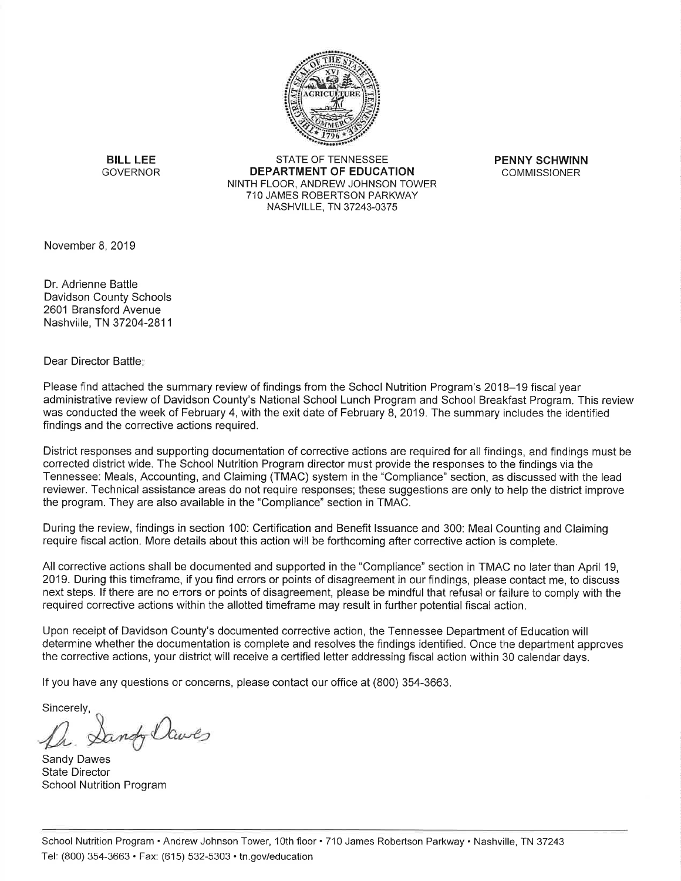

**BILL LEE GOVERNOR** 

**STATE OF TENNESSEE DEPARTMENT OF EDUCATION** NINTH FLOOR, ANDREW JOHNSON TOWER 710 JAMES ROBERTSON PARKWAY NASHVILLE, TN 37243-0375

**PENNY SCHWINN COMMISSIONER** 

November 8, 2019

Dr. Adrienne Battle Davidson County Schools 2601 Bransford Avenue Nashville, TN 37204-2811

Dear Director Battle:

Please find attached the summary review of findings from the School Nutrition Program's 2018–19 fiscal year administrative review of Davidson County's National School Lunch Program and School Breakfast Program. This review was conducted the week of February 4, with the exit date of February 8, 2019. The summary includes the identified findings and the corrective actions required.

District responses and supporting documentation of corrective actions are required for all findings, and findings must be corrected district wide. The School Nutrition Program director must provide the responses to the findings via the Tennessee: Meals, Accounting, and Claiming (TMAC) system in the "Compliance" section, as discussed with the lead reviewer. Technical assistance areas do not require responses; these suggestions are only to help the district improve the program. They are also available in the "Compliance" section in TMAC.

During the review, findings in section 100: Certification and Benefit Issuance and 300: Meal Counting and Claiming require fiscal action. More details about this action will be forthcoming after corrective action is complete.

All corrective actions shall be documented and supported in the "Compliance" section in TMAC no later than April 19. 2019. During this timeframe, if you find errors or points of disagreement in our findings, please contact me, to discuss next steps. If there are no errors or points of disagreement, please be mindful that refusal or failure to comply with the required corrective actions within the allotted timeframe may result in further potential fiscal action.

Upon receipt of Davidson County's documented corrective action, the Tennessee Department of Education will determine whether the documentation is complete and resolves the findings identified. Once the department approves the corrective actions, your district will receive a certified letter addressing fiscal action within 30 calendar days.

If you have any questions or concerns, please contact our office at (800) 354-3663.

Sincerely,

rindy Claves

Sandy Dawes **State Director School Nutrition Program**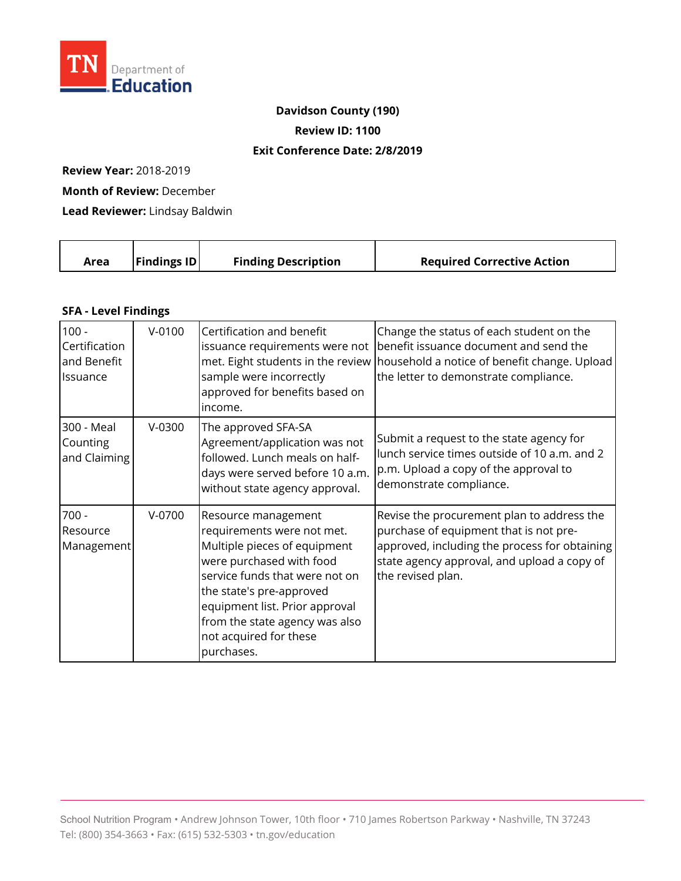

### **Davidson County (190)**

**Review ID: 1100** 

#### **Exit Conference Date: 2/8/2019**

**Review Year:** 2018-2019

**Month of Review:** December

**Lead Reviewer:** Lindsay Baldwin

|  | <b>Findings ID</b><br>Area | <b>Finding Description</b> | <b>Required Corrective Action</b> |
|--|----------------------------|----------------------------|-----------------------------------|
|--|----------------------------|----------------------------|-----------------------------------|

#### **SFA - Level Findings**

| $100 -$<br>Certification<br>and Benefit<br>Issuance | $V-0100$ | Certification and benefit<br>issuance requirements were not<br>sample were incorrectly<br>approved for benefits based on<br>income.                                                                                                                                                     | Change the status of each student on the<br>benefit issuance document and send the<br>met. Eight students in the review   household a notice of benefit change. Upload<br>the letter to demonstrate compliance. |
|-----------------------------------------------------|----------|-----------------------------------------------------------------------------------------------------------------------------------------------------------------------------------------------------------------------------------------------------------------------------------------|-----------------------------------------------------------------------------------------------------------------------------------------------------------------------------------------------------------------|
| 300 - Meal<br>Counting<br>and Claiming              | $V-0300$ | The approved SFA-SA<br>Agreement/application was not<br>followed. Lunch meals on half-<br>days were served before 10 a.m.<br>without state agency approval.                                                                                                                             | Submit a request to the state agency for<br>lunch service times outside of 10 a.m. and 2<br>p.m. Upload a copy of the approval to<br>demonstrate compliance.                                                    |
| $700 -$<br>Resource<br>Management                   | $V-0700$ | Resource management<br>requirements were not met.<br>Multiple pieces of equipment<br>were purchased with food<br>service funds that were not on<br>the state's pre-approved<br>equipment list. Prior approval<br>from the state agency was also<br>not acquired for these<br>purchases. | Revise the procurement plan to address the<br>purchase of equipment that is not pre-<br>approved, including the process for obtaining<br>state agency approval, and upload a copy of<br>the revised plan.       |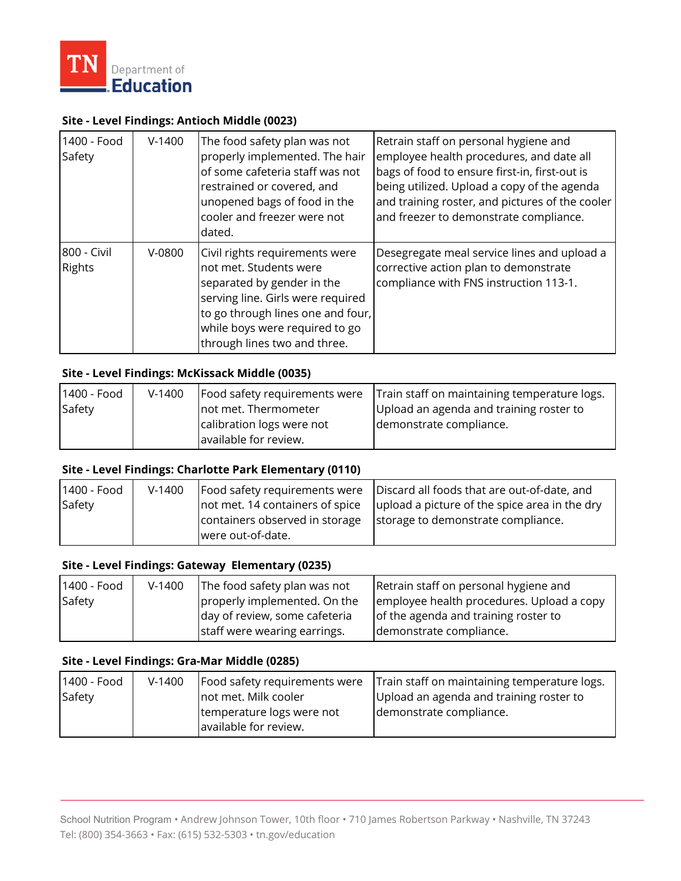

#### **Site - Level Findings: Antioch Middle (0023)**

| 1400 - Food<br>Safety        | $V-1400$ | The food safety plan was not<br>properly implemented. The hair<br>of some cafeteria staff was not<br>restrained or covered, and<br>unopened bags of food in the<br>cooler and freezer were not<br>dated.                           | Retrain staff on personal hygiene and<br>employee health procedures, and date all<br>bags of food to ensure first-in, first-out is<br>being utilized. Upload a copy of the agenda<br>and training roster, and pictures of the cooler<br>and freezer to demonstrate compliance. |
|------------------------------|----------|------------------------------------------------------------------------------------------------------------------------------------------------------------------------------------------------------------------------------------|--------------------------------------------------------------------------------------------------------------------------------------------------------------------------------------------------------------------------------------------------------------------------------|
| 800 - Civil<br><b>Rights</b> | $V-0800$ | Civil rights requirements were<br>not met. Students were<br>separated by gender in the<br>serving line. Girls were required<br>to go through lines one and four,<br>while boys were required to go<br>through lines two and three. | Desegregate meal service lines and upload a<br>corrective action plan to demonstrate<br>compliance with FNS instruction 113-1.                                                                                                                                                 |

#### **Site - Level Findings: McKissack Middle (0035)**

| 1400 - Food | $V-1400$ | Food safety requirements were | Train staff on maintaining temperature logs. |
|-------------|----------|-------------------------------|----------------------------------------------|
| Safety      |          | not met. Thermometer          | Upload an agenda and training roster to      |
|             |          | calibration logs were not     | demonstrate compliance.                      |
|             |          | available for review.         |                                              |

### **Site - Level Findings: Charlotte Park Elementary (0110)**

| 1400 - Food | $V-1400$ |                                                     | Food safety requirements were   Discard all foods that are out-of-date, and |
|-------------|----------|-----------------------------------------------------|-----------------------------------------------------------------------------|
| Safety      |          | not met. 14 containers of spice                     | upload a picture of the spice area in the dry                               |
|             |          | containers observed in storage<br>were out-of-date. | storage to demonstrate compliance.                                          |
|             |          |                                                     |                                                                             |

### **Site - Level Findings: Gateway Elementary (0235)**

| 1400 - Food | $V-1400$ | The food safety plan was not  | Retrain staff on personal hygiene and     |
|-------------|----------|-------------------------------|-------------------------------------------|
| Safety      |          | properly implemented. On the  | employee health procedures. Upload a copy |
|             |          | day of review, some cafeteria | of the agenda and training roster to      |
|             |          | staff were wearing earrings.  | demonstrate compliance.                   |

### **Site - Level Findings: Gra-Mar Middle (0285)**

| 1400 - Food | $V-1400$ | Food safety requirements were | Train staff on maintaining temperature logs. |
|-------------|----------|-------------------------------|----------------------------------------------|
| Safety      |          | not met. Milk cooler          | Upload an agenda and training roster to      |
|             |          | temperature logs were not     | demonstrate compliance.                      |
|             |          | available for review.         |                                              |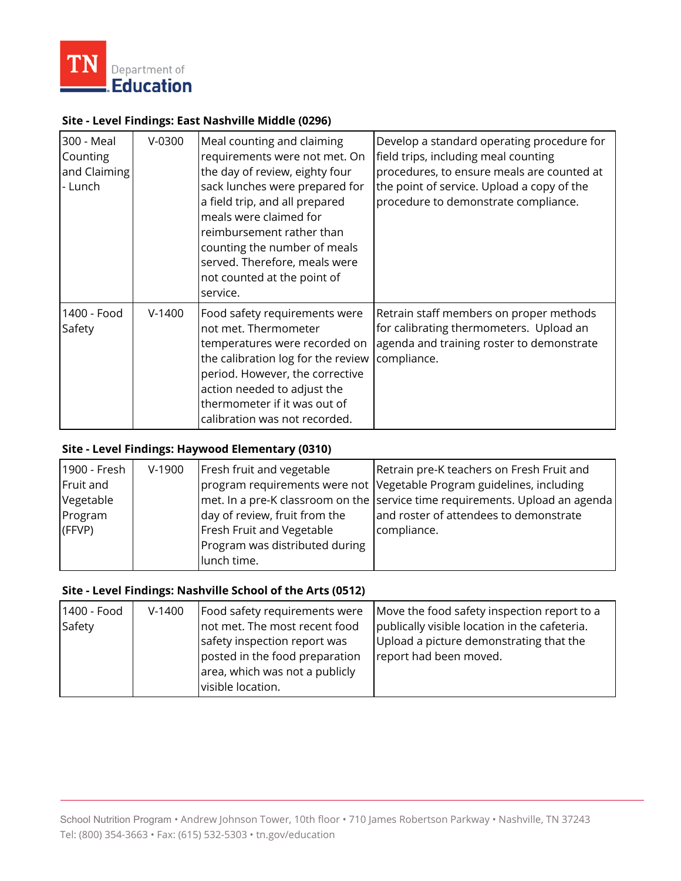

### **Site - Level Findings: East Nashville Middle (0296)**

| 300 - Meal<br>Counting<br>and Claiming<br>- Lunch | $V-0300$ | Meal counting and claiming<br>requirements were not met. On<br>the day of review, eighty four<br>sack lunches were prepared for<br>a field trip, and all prepared<br>meals were claimed for<br>reimbursement rather than<br>counting the number of meals<br>served. Therefore, meals were<br>not counted at the point of<br>service. | Develop a standard operating procedure for<br>field trips, including meal counting<br>procedures, to ensure meals are counted at<br>the point of service. Upload a copy of the<br>procedure to demonstrate compliance. |
|---------------------------------------------------|----------|--------------------------------------------------------------------------------------------------------------------------------------------------------------------------------------------------------------------------------------------------------------------------------------------------------------------------------------|------------------------------------------------------------------------------------------------------------------------------------------------------------------------------------------------------------------------|
| 1400 - Food<br>Safety                             | $V-1400$ | Food safety requirements were<br>not met. Thermometer<br>temperatures were recorded on<br>the calibration log for the review<br>period. However, the corrective<br>action needed to adjust the<br>thermometer if it was out of<br>calibration was not recorded.                                                                      | Retrain staff members on proper methods<br>for calibrating thermometers. Upload an<br>agenda and training roster to demonstrate<br>compliance.                                                                         |

## **Site - Level Findings: Haywood Elementary (0310)**

| 1900 - Fresh | $V-1900$ | Fresh fruit and vegetable      | Retrain pre-K teachers on Fresh Fruit and                                        |
|--------------|----------|--------------------------------|----------------------------------------------------------------------------------|
| Fruit and    |          |                                | program requirements were not Vegetable Program guidelines, including            |
| Vegetable    |          |                                | $ $ met. In a pre-K classroom on the service time requirements. Upload an agenda |
| Program      |          | day of review, fruit from the  | and roster of attendees to demonstrate                                           |
| (FFVP)       |          | Fresh Fruit and Vegetable      | compliance.                                                                      |
|              |          | Program was distributed during |                                                                                  |
|              |          | lunch time.                    |                                                                                  |

#### **Site - Level Findings: Nashville School of the Arts (0512)**

| 1400 - Food | $V-1400$ | Food safety requirements were  | Move the food safety inspection report to a   |
|-------------|----------|--------------------------------|-----------------------------------------------|
| Safety      |          | not met. The most recent food  | publically visible location in the cafeteria. |
|             |          | safety inspection report was   | Upload a picture demonstrating that the       |
|             |          | posted in the food preparation | report had been moved.                        |
|             |          | area, which was not a publicly |                                               |
|             |          | visible location.              |                                               |